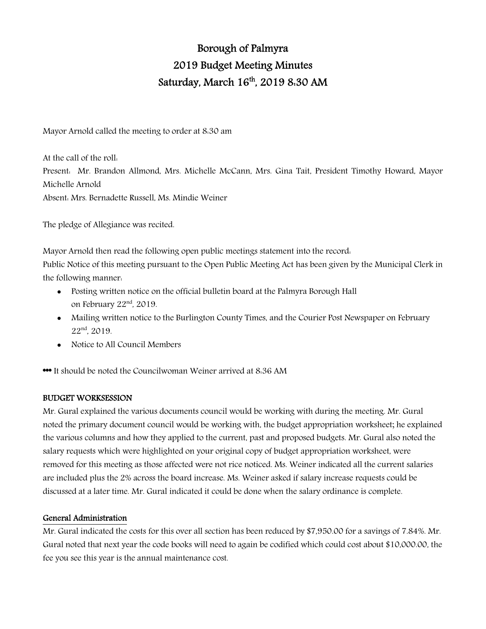# Borough of Palmyra 2019 Budget Meeting Minutes Saturday, March 16<sup>th</sup>, 2019 8:30 AM

Mayor Arnold called the meeting to order at 8:30 am

At the call of the roll: Present: Mr. Brandon Allmond, Mrs. Michelle McCann, Mrs. Gina Tait, President Timothy Howard, Mayor Michelle Arnold Absent: Mrs. Bernadette Russell, Ms. Mindie Weiner

The pledge of Allegiance was recited.

Mayor Arnold then read the following open public meetings statement into the record:

Public Notice of this meeting pursuant to the Open Public Meeting Act has been given by the Municipal Clerk in the following manner:

- Posting written notice on the official bulletin board at the Palmyra Borough Hall on February 22<sup>nd</sup>, 2019.
- Mailing written notice to the Burlington County Times, and the Courier Post Newspaper on February 22<sup>nd</sup>, 2019.
- Notice to All Council Members

\*\*\* It should be noted the Councilwoman Weiner arrived at 8:36 AM

# BUDGET WORKSESSION

Mr. Gural explained the various documents council would be working with during the meeting. Mr. Gural noted the primary document council would be working with, the budget appropriation worksheet; he explained the various columns and how they applied to the current, past and proposed budgets. Mr. Gural also noted the salary requests which were highlighted on your original copy of budget appropriation worksheet, were removed for this meeting as those affected were not rice noticed. Ms. Weiner indicated all the current salaries are included plus the 2% across the board increase. Ms. Weiner asked if salary increase requests could be discussed at a later time. Mr. Gural indicated it could be done when the salary ordinance is complete.

#### General Administration

Mr. Gural indicated the costs for this over all section has been reduced by \$7,950.00 for a savings of 7.84%. Mr. Gural noted that next year the code books will need to again be codified which could cost about \$10,000.00, the fee you see this year is the annual maintenance cost.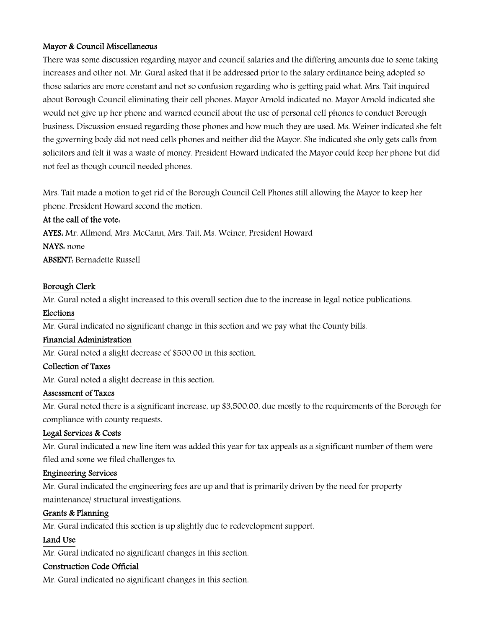# Mayor & Council Miscellaneous

There was some discussion regarding mayor and council salaries and the differing amounts due to some taking increases and other not. Mr. Gural asked that it be addressed prior to the salary ordinance being adopted so those salaries are more constant and not so confusion regarding who is getting paid what. Mrs. Tait inquired about Borough Council eliminating their cell phones. Mayor Arnold indicated no. Mayor Arnold indicated she would not give up her phone and warned council about the use of personal cell phones to conduct Borough business. Discussion ensued regarding those phones and how much they are used. Ms. Weiner indicated she felt the governing body did not need cells phones and neither did the Mayor. She indicated she only gets calls from solicitors and felt it was a waste of money. President Howard indicated the Mayor could keep her phone but did not feel as though council needed phones.

Mrs. Tait made a motion to get rid of the Borough Council Cell Phones still allowing the Mayor to keep her phone. President Howard second the motion.

# At the call of the vote:

AYES: Mr. Allmond, Mrs. McCann, Mrs. Tait, Ms. Weiner, President Howard NAYS: none ABSENT: Bernadette Russell

# Borough Clerk

Mr. Gural noted a slight increased to this overall section due to the increase in legal notice publications.

## Elections

Mr. Gural indicated no significant change in this section and we pay what the County bills.

#### Financial Administration

Mr. Gural noted a slight decrease of \$500.00 in this section.

## Collection of Taxes

Mr. Gural noted a slight decrease in this section.

#### Assessment of Taxes

Mr. Gural noted there is a significant increase, up \$3,500.00, due mostly to the requirements of the Borough for compliance with county requests.

#### Legal Services & Costs

Mr. Gural indicated a new line item was added this year for tax appeals as a significant number of them were filed and some we filed challenges to.

#### Engineering Services

Mr. Gural indicated the engineering fees are up and that is primarily driven by the need for property maintenance/ structural investigations.

#### Grants & Planning

Mr. Gural indicated this section is up slightly due to redevelopment support.

# Land Use

Mr. Gural indicated no significant changes in this section.

#### Construction Code Official

Mr. Gural indicated no significant changes in this section.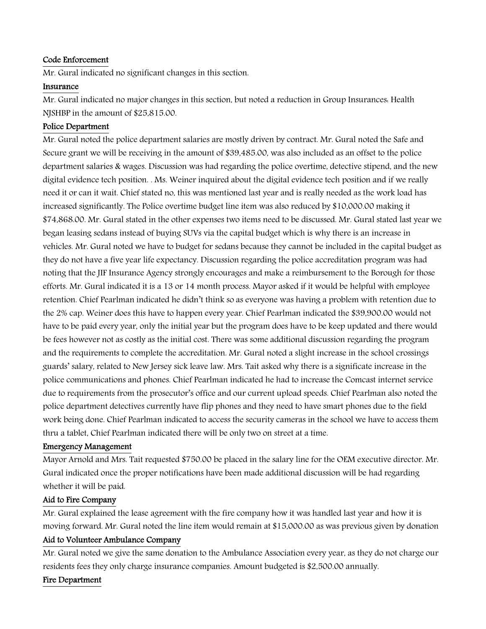## Code Enforcement

Mr. Gural indicated no significant changes in this section.

#### Insurance

Mr. Gural indicated no major changes in this section, but noted a reduction in Group Insurances: Health NJSHBP in the amount of \$25,815.00.

## Police Department

Mr. Gural noted the police department salaries are mostly driven by contract. Mr. Gural noted the Safe and Secure grant we will be receiving in the amount of \$39,485.00, was also included as an offset to the police department salaries & wages. Discussion was had regarding the police overtime, detective stipend, and the new digital evidence tech position. . Ms. Weiner inquired about the digital evidence tech position and if we really need it or can it wait. Chief stated no, this was mentioned last year and is really needed as the work load has increased significantly. The Police overtime budget line item was also reduced by \$10,000.00 making it \$74,868.00. Mr. Gural stated in the other expenses two items need to be discussed. Mr. Gural stated last year we began leasing sedans instead of buying SUVs via the capital budget which is why there is an increase in vehicles. Mr. Gural noted we have to budget for sedans because they cannot be included in the capital budget as they do not have a five year life expectancy. Discussion regarding the police accreditation program was had noting that the JIF Insurance Agency strongly encourages and make a reimbursement to the Borough for those efforts. Mr. Gural indicated it is a 13 or 14 month process. Mayor asked if it would be helpful with employee retention. Chief Pearlman indicated he didn't think so as everyone was having a problem with retention due to the 2% cap. Weiner does this have to happen every year. Chief Pearlman indicated the \$39,900.00 would not have to be paid every year, only the initial year but the program does have to be keep updated and there would be fees however not as costly as the initial cost. There was some additional discussion regarding the program and the requirements to complete the accreditation. Mr. Gural noted a slight increase in the school crossings guards' salary, related to New Jersey sick leave law. Mrs. Tait asked why there is a significate increase in the police communications and phones. Chief Pearlman indicated he had to increase the Comcast internet service due to requirements from the prosecutor's office and our current upload speeds. Chief Pearlman also noted the police department detectives currently have flip phones and they need to have smart phones due to the field work being done. Chief Pearlman indicated to access the security cameras in the school we have to access them thru a tablet, Chief Pearlman indicated there will be only two on street at a time.

#### Emergency Management

Mayor Arnold and Mrs. Tait requested \$750.00 be placed in the salary line for the OEM executive director. Mr. Gural indicated once the proper notifications have been made additional discussion will be had regarding whether it will be paid.

#### Aid to Fire Company

Mr. Gural explained the lease agreement with the fire company how it was handled last year and how it is moving forward. Mr. Gural noted the line item would remain at \$15,000.00 as was previous given by donation

## Aid to Volunteer Ambulance Company

Mr. Gural noted we give the same donation to the Ambulance Association every year, as they do not charge our residents fees they only charge insurance companies. Amount budgeted is \$2,500.00 annually.

# Fire Department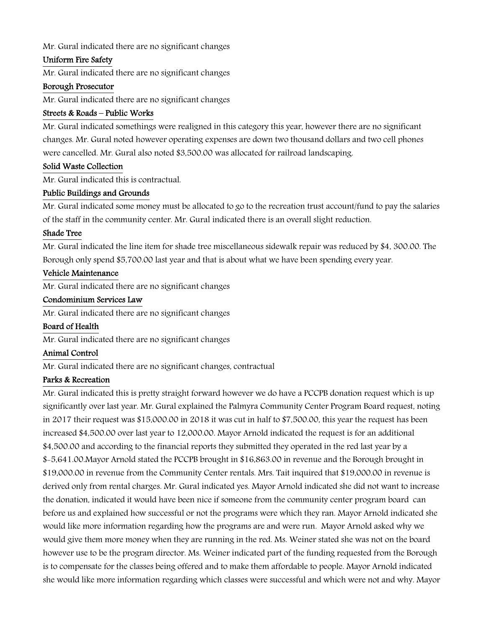Mr. Gural indicated there are no significant changes

#### Uniform Fire Safety

Mr. Gural indicated there are no significant changes

#### Borough Prosecutor

Mr. Gural indicated there are no significant changes

## Streets & Roads – Public Works

Mr. Gural indicated somethings were realigned in this category this year, however there are no significant changes. Mr. Gural noted however operating expenses are down two thousand dollars and two cell phones were cancelled. Mr. Gural also noted \$3,500.00 was allocated for railroad landscaping.

## Solid Waste Collection

Mr. Gural indicated this is contractual.

## Public Buildings and Grounds

Mr. Gural indicated some money must be allocated to go to the recreation trust account/fund to pay the salaries of the staff in the community center. Mr. Gural indicated there is an overall slight reduction.

## Shade Tree

Mr. Gural indicated the line item for shade tree miscellaneous sidewalk repair was reduced by \$4, 300.00. The Borough only spend \$5,700.00 last year and that is about what we have been spending every year.

## Vehicle Maintenance

Mr. Gural indicated there are no significant changes

## Condominium Services Law

Mr. Gural indicated there are no significant changes

# Board of Health

Mr. Gural indicated there are no significant changes

## Animal Control

Mr. Gural indicated there are no significant changes, contractual

# Parks & Recreation

Mr. Gural indicated this is pretty straight forward however we do have a PCCPB donation request which is up significantly over last year. Mr. Gural explained the Palmyra Community Center Program Board request, noting in 2017 their request was \$15,000.00 in 2018 it was cut in half to \$7,500.00, this year the request has been increased \$4,500.00 over last year to 12,000.00. Mayor Arnold indicated the request is for an additional \$4,500.00 and according to the financial reports they submitted they operated in the red last year by a \$-5,641.00.Mayor Arnold stated the PCCPB brought in \$16,863.00 in revenue and the Borough brought in \$19,000.00 in revenue from the Community Center rentals. Mrs. Tait inquired that \$19,000.00 in revenue is derived only from rental charges. Mr. Gural indicated yes. Mayor Arnold indicated she did not want to increase the donation, indicated it would have been nice if someone from the community center program board can before us and explained how successful or not the programs were which they ran. Mayor Arnold indicated she would like more information regarding how the programs are and were run. Mayor Arnold asked why we would give them more money when they are running in the red. Ms. Weiner stated she was not on the board however use to be the program director. Ms. Weiner indicated part of the funding requested from the Borough is to compensate for the classes being offered and to make them affordable to people. Mayor Arnold indicated she would like more information regarding which classes were successful and which were not and why. Mayor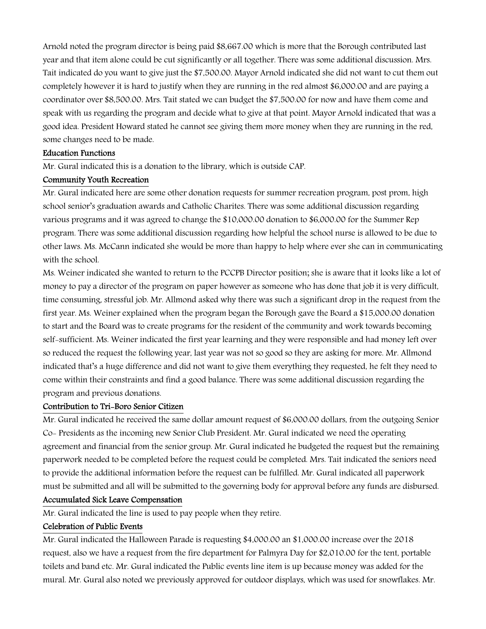Arnold noted the program director is being paid \$8,667.00 which is more that the Borough contributed last year and that item alone could be cut significantly or all together. There was some additional discussion. Mrs. Tait indicated do you want to give just the \$7,500.00. Mayor Arnold indicated she did not want to cut them out completely however it is hard to justify when they are running in the red almost \$6,000.00 and are paying a coordinator over \$8,500.00. Mrs. Tait stated we can budget the \$7,500.00 for now and have them come and speak with us regarding the program and decide what to give at that point. Mayor Arnold indicated that was a good idea. President Howard stated he cannot see giving them more money when they are running in the red, some changes need to be made.

#### Education Functions

Mr. Gural indicated this is a donation to the library, which is outside CAP.

## Community Youth Recreation

Mr. Gural indicated here are some other donation requests for summer recreation program, post prom, high school senior's graduation awards and Catholic Charites. There was some additional discussion regarding various programs and it was agreed to change the \$10,000.00 donation to \$6,000.00 for the Summer Rep program. There was some additional discussion regarding how helpful the school nurse is allowed to be due to other laws. Ms. McCann indicated she would be more than happy to help where ever she can in communicating with the school.

Ms. Weiner indicated she wanted to return to the PCCPB Director position; she is aware that it looks like a lot of money to pay a director of the program on paper however as someone who has done that job it is very difficult, time consuming, stressful job. Mr. Allmond asked why there was such a significant drop in the request from the first year. Ms. Weiner explained when the program began the Borough gave the Board a \$15,000.00 donation to start and the Board was to create programs for the resident of the community and work towards becoming self-sufficient. Ms. Weiner indicated the first year learning and they were responsible and had money left over so reduced the request the following year, last year was not so good so they are asking for more. Mr. Allmond indicated that's a huge difference and did not want to give them everything they requested, he felt they need to come within their constraints and find a good balance. There was some additional discussion regarding the program and previous donations.

#### Contribution to Tri-Boro Senior Citizen

Mr. Gural indicated he received the same dollar amount request of \$6,000.00 dollars, from the outgoing Senior Co- Presidents as the incoming new Senior Club President. Mr. Gural indicated we need the operating agreement and financial from the senior group. Mr. Gural indicated he budgeted the request but the remaining paperwork needed to be completed before the request could be completed. Mrs. Tait indicated the seniors need to provide the additional information before the request can be fulfilled. Mr. Gural indicated all paperwork must be submitted and all will be submitted to the governing body for approval before any funds are disbursed.

## Accumulated Sick Leave Compensation

Mr. Gural indicated the line is used to pay people when they retire.

#### Celebration of Public Events

Mr. Gural indicated the Halloween Parade is requesting \$4,000.00 an \$1,000.00 increase over the 2018 request, also we have a request from the fire department for Palmyra Day for \$2,010.00 for the tent, portable toilets and band etc. Mr. Gural indicated the Public events line item is up because money was added for the mural. Mr. Gural also noted we previously approved for outdoor displays, which was used for snowflakes. Mr.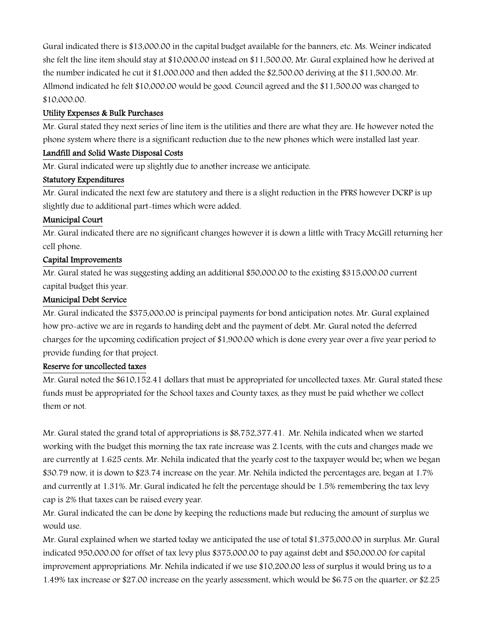Gural indicated there is \$13,000.00 in the capital budget available for the banners, etc. Ms. Weiner indicated she felt the line item should stay at \$10,000.00 instead on \$11,500.00, Mr. Gural explained how he derived at the number indicated he cut it \$1,000.000 and then added the \$2,500.00 deriving at the \$11,500.00. Mr. Allmond indicated he felt \$10,000.00 would be good. Council agreed and the \$11,500.00 was changed to \$10,000.00.

# Utility Expenses & Bulk Purchases

Mr. Gural stated they next series of line item is the utilities and there are what they are. He however noted the phone system where there is a significant reduction due to the new phones which were installed last year.

# Landfill and Solid Waste Disposal Costs

Mr. Gural indicated were up slightly due to another increase we anticipate.

# Statutory Expenditures

Mr. Gural indicated the next few are statutory and there is a slight reduction in the PFRS however DCRP is up slightly due to additional part-times which were added.

# Municipal Court

Mr. Gural indicated there are no significant changes however it is down a little with Tracy McGill returning her cell phone.

# Capital Improvements

Mr. Gural stated he was suggesting adding an additional \$50,000.00 to the existing \$315,000.00 current capital budget this year.

# Municipal Debt Service

Mr. Gural indicated the \$375,000.00 is principal payments for bond anticipation notes. Mr. Gural explained how pro-active we are in regards to handing debt and the payment of debt. Mr. Gural noted the deferred charges for the upcoming codification project of \$1,900.00 which is done every year over a five year period to provide funding for that project.

# Reserve for uncollected taxes

Mr. Gural noted the \$610,152.41 dollars that must be appropriated for uncollected taxes. Mr. Gural stated these funds must be appropriated for the School taxes and County taxes, as they must be paid whether we collect them or not.

Mr. Gural stated the grand total of appropriations is \$8,752,377.41. Mr. Nehila indicated when we started working with the budget this morning the tax rate increase was 2.1cents, with the cuts and changes made we are currently at 1.625 cents. Mr. Nehila indicated that the yearly cost to the taxpayer would be; when we began \$30.79 now, it is down to \$23.74 increase on the year. Mr. Nehila indicted the percentages are, began at 1.7% and currently at 1.31%. Mr. Gural indicated he felt the percentage should be 1.5% remembering the tax levy cap is 2% that taxes can be raised every year.

Mr. Gural indicated the can be done by keeping the reductions made but reducing the amount of surplus we would use.

Mr. Gural explained when we started today we anticipated the use of total \$1,375,000.00 in surplus. Mr. Gural indicated 950,000.00 for offset of tax levy plus \$375,000.00 to pay against debt and \$50,000.00 for capital improvement appropriations. Mr. Nehila indicated if we use \$10,200.00 less of surplus it would bring us to a 1.49% tax increase or \$27.00 increase on the yearly assessment, which would be \$6.75 on the quarter, or \$2.25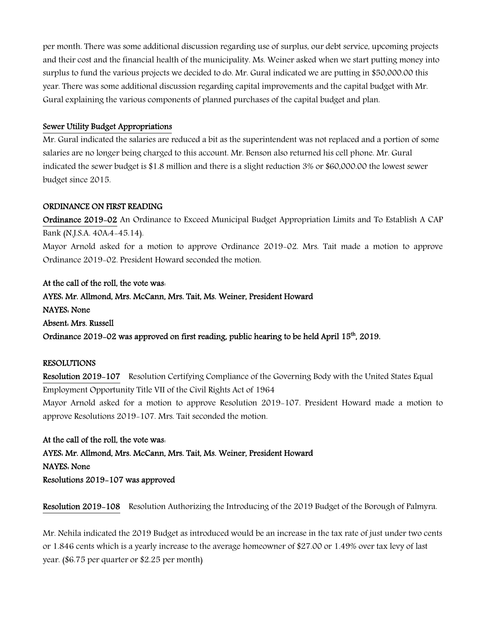per month. There was some additional discussion regarding use of surplus, our debt service, upcoming projects and their cost and the financial health of the municipality. Ms. Weiner asked when we start putting money into surplus to fund the various projects we decided to do. Mr. Gural indicated we are putting in \$50,000.00 this year. There was some additional discussion regarding capital improvements and the capital budget with Mr. Gural explaining the various components of planned purchases of the capital budget and plan.

## Sewer Utility Budget Appropriations

Mr. Gural indicated the salaries are reduced a bit as the superintendent was not replaced and a portion of some salaries are no longer being charged to this account. Mr. Benson also returned his cell phone. Mr. Gural indicated the sewer budget is \$1.8 million and there is a slight reduction 3% or \$60,000.00 the lowest sewer budget since 2015.

## ORDINANCE ON FIRST READING

Ordinance 2019-02 An Ordinance to Exceed Municipal Budget Appropriation Limits and To Establish A CAP Bank (N.J.S.A. 40A:4-45.14).

Mayor Arnold asked for a motion to approve Ordinance 2019-02. Mrs. Tait made a motion to approve Ordinance 2019-02. President Howard seconded the motion.

At the call of the roll, the vote was: AYES: Mr. Allmond, Mrs. McCann, Mrs. Tait, Ms. Weiner, President Howard NAYES: None Absent: Mrs. Russell Ordinance 2019-02 was approved on first reading, public hearing to be held April  $15<sup>th</sup>$ , 2019.

#### RESOLUTIONS

Resolution 2019-107 Resolution Certifying Compliance of the Governing Body with the United States Equal Employment Opportunity Title VII of the Civil Rights Act of 1964 Mayor Arnold asked for a motion to approve Resolution 2019-107. President Howard made a motion to approve Resolutions 2019-107. Mrs. Tait seconded the motion.

At the call of the roll, the vote was: AYES: Mr. Allmond, Mrs. McCann, Mrs. Tait, Ms. Weiner, President Howard NAYES: None Resolutions 2019-107 was approved

Resolution 2019-108 Resolution Authorizing the Introducing of the 2019 Budget of the Borough of Palmyra.

Mr. Nehila indicated the 2019 Budget as introduced would be an increase in the tax rate of just under two cents or 1.846 cents which is a yearly increase to the average homeowner of \$27.00 or 1.49% over tax levy of last year. (\$6.75 per quarter or \$2.25 per month)